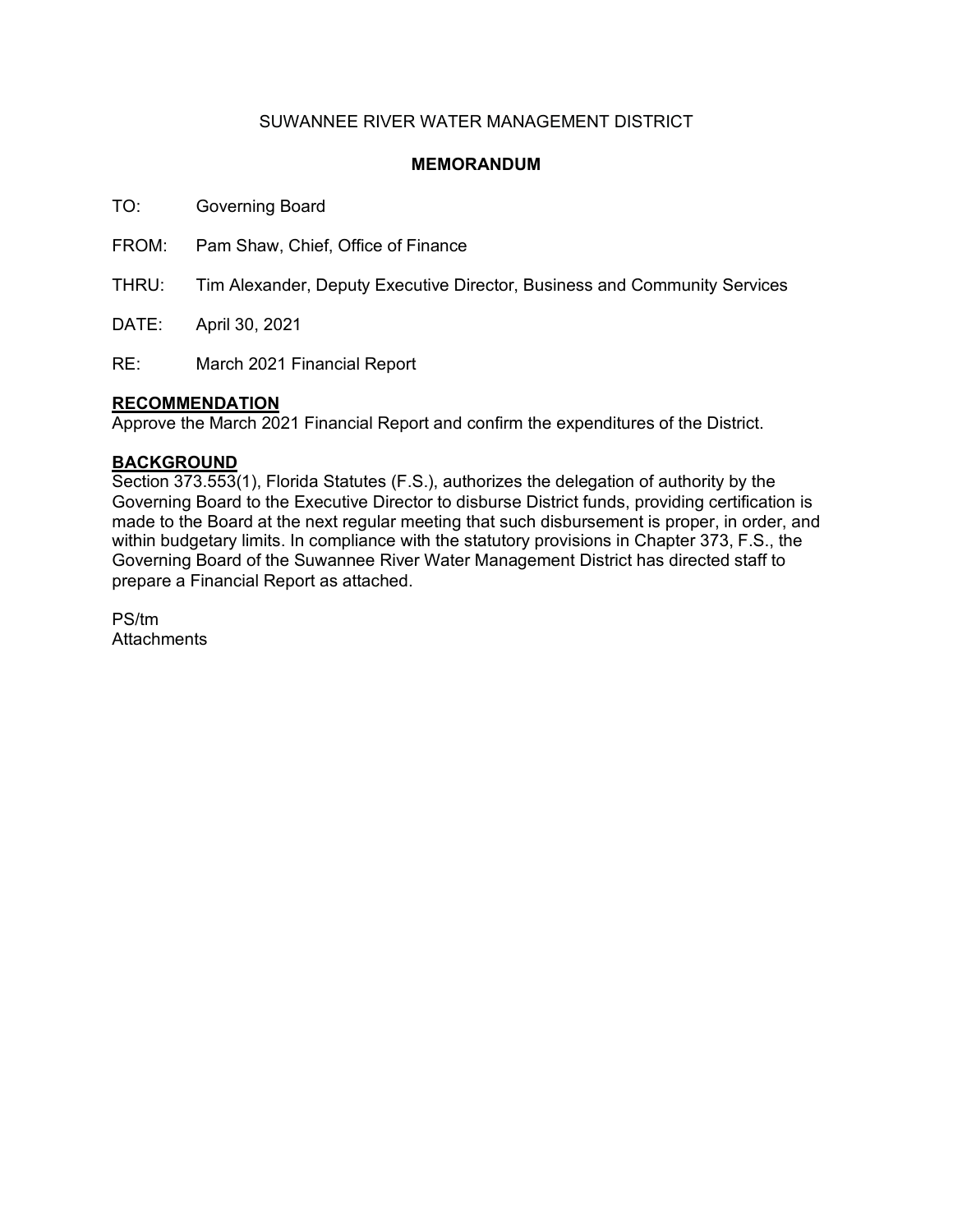## SUWANNEE RIVER WATER MANAGEMENT DISTRICT

### **MEMORANDUM**

TO: Governing Board

FROM: Pam Shaw, Chief, Office of Finance

THRU: Tim Alexander, Deputy Executive Director, Business and Community Services

DATE: April 30, 2021

RE: March 2021 Financial Report

### **RECOMMENDATION**

Approve the March 2021 Financial Report and confirm the expenditures of the District.

### **BACKGROUND**

Section 373.553(1), Florida Statutes (F.S.), authorizes the delegation of authority by the Governing Board to the Executive Director to disburse District funds, providing certification is made to the Board at the next regular meeting that such disbursement is proper, in order, and within budgetary limits. In compliance with the statutory provisions in Chapter 373, F.S., the Governing Board of the Suwannee River Water Management District has directed staff to prepare a Financial Report as attached.

PS/tm **Attachments**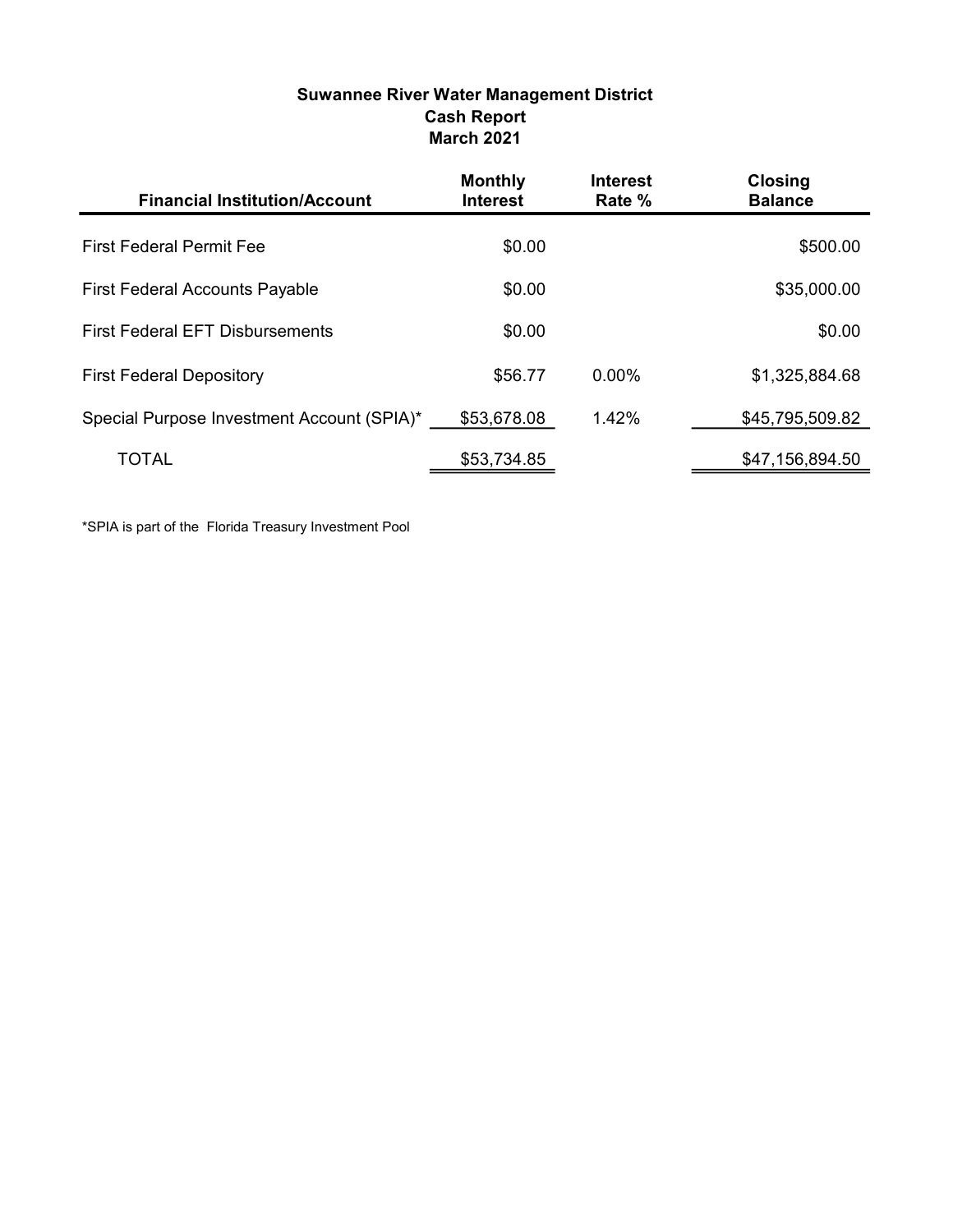# Suwannee River Water Management District Cash Report March 2021

| <b>Financial Institution/Account</b>       | <b>Monthly</b><br><b>Interest</b> | <b>Interest</b><br>Rate % | <b>Closing</b><br><b>Balance</b> |
|--------------------------------------------|-----------------------------------|---------------------------|----------------------------------|
| <b>First Federal Permit Fee</b>            | \$0.00                            |                           | \$500.00                         |
| <b>First Federal Accounts Payable</b>      | \$0.00                            |                           | \$35,000.00                      |
| <b>First Federal EFT Disbursements</b>     | \$0.00                            |                           | \$0.00                           |
| <b>First Federal Depository</b>            | \$56.77                           | $0.00\%$                  | \$1,325,884.68                   |
| Special Purpose Investment Account (SPIA)* | \$53,678.08                       | 1.42%                     | \$45,795,509.82                  |
| <b>TOTAL</b>                               | \$53,734.85                       |                           | \$47,156,894.50                  |

\*SPIA is part of the Florida Treasury Investment Pool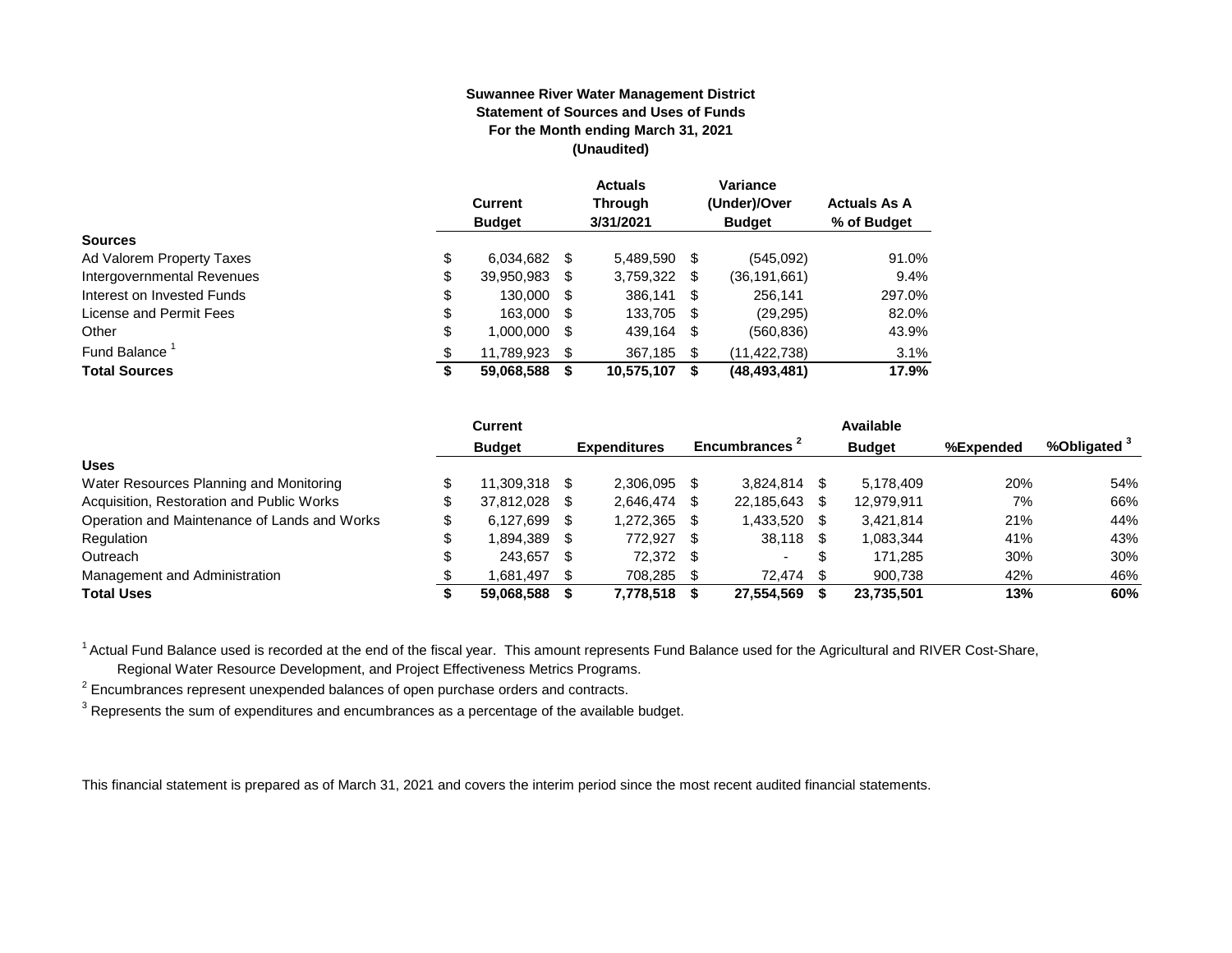#### **Suwannee River Water Management District Statement of Sources and Uses of Funds For the Month ending March 31, 2021 (Unaudited)**

|                                  | <b>Current</b><br><b>Budget</b> |      | <b>Actuals</b><br><b>Through</b><br>3/31/2021 |     | Variance<br>(Under)/Over<br><b>Budget</b> | <b>Actuals As A</b><br>% of Budget |
|----------------------------------|---------------------------------|------|-----------------------------------------------|-----|-------------------------------------------|------------------------------------|
| <b>Sources</b>                   |                                 |      |                                               |     |                                           |                                    |
| \$<br>Ad Valorem Property Taxes  | 6,034,682                       | S    | 5,489,590                                     | \$  | (545,092)                                 | 91.0%                              |
| Intergovernmental Revenues<br>\$ | 39,950,983                      | S    | 3,759,322                                     | S   | (36,191,661)                              | 9.4%                               |
| \$<br>Interest on Invested Funds | 130.000                         | - \$ | 386,141 \$                                    |     | 256,141                                   | 297.0%                             |
| \$<br>License and Permit Fees    | 163,000                         | - \$ | 133,705                                       | -\$ | (29, 295)                                 | 82.0%                              |
| \$<br>Other                      | 1,000,000                       | S    | 439,164                                       | \$  | (560, 836)                                | 43.9%                              |
| Fund Balance <sup>1</sup><br>\$  | 11,789,923                      | S    | 367,185                                       | \$. | (11, 422, 738)                            | 3.1%                               |
| <b>Total Sources</b><br>\$       | 59,068,588                      |      | 10,575,107                                    | S   | (48, 493, 481)                            | 17.9%                              |

|                                              | Current          |      |                     |    |                           |      | Available     |           |                         |
|----------------------------------------------|------------------|------|---------------------|----|---------------------------|------|---------------|-----------|-------------------------|
|                                              | <b>Budget</b>    |      | <b>Expenditures</b> |    | Encumbrances <sup>2</sup> |      | <b>Budget</b> | %Expended | %Obligated <sup>3</sup> |
| <b>Uses</b>                                  |                  |      |                     |    |                           |      |               |           |                         |
| Water Resources Planning and Monitoring      | 11.309.318       | - \$ | 2.306.095           |    | 3.824.814                 |      | 5.178.409     | 20%       | 54%                     |
| Acquisition, Restoration and Public Works    | \$<br>37.812.028 | - \$ | 2.646.474           |    | 22.185.643                |      | 12,979,911    | 7%        | 66%                     |
| Operation and Maintenance of Lands and Works | \$<br>6.127.699  | - \$ | 1,272,365           |    | 1,433,520                 | - \$ | 3,421,814     | 21%       | 44%                     |
| Regulation                                   | 1,894,389        | - \$ | 772.927             | -S | 38,118                    |      | 1,083,344     | 41%       | 43%                     |
| Outreach                                     | 243.657          | - \$ | 72.372              | SS | $\sim$                    | \$   | 171.285       | 30%       | 30%                     |
| Management and Administration                | 1.681.497        | - \$ | 708.285             |    | 72.474                    |      | 900.738       | 42%       | 46%                     |
| <b>Total Uses</b>                            | 59.068.588       |      | 7,778,518           |    | 27,554,569                |      | 23,735,501    | 13%       | 60%                     |

<sup>1</sup> Actual Fund Balance used is recorded at the end of the fiscal year. This amount represents Fund Balance used for the Agricultural and RIVER Cost-Share,

Regional Water Resource Development, and Project Effectiveness Metrics Programs.

 $2$  Encumbrances represent unexpended balances of open purchase orders and contracts.

 $^3$  Represents the sum of expenditures and encumbrances as a percentage of the available budget.

This financial statement is prepared as of March 31, 2021 and covers the interim period since the most recent audited financial statements.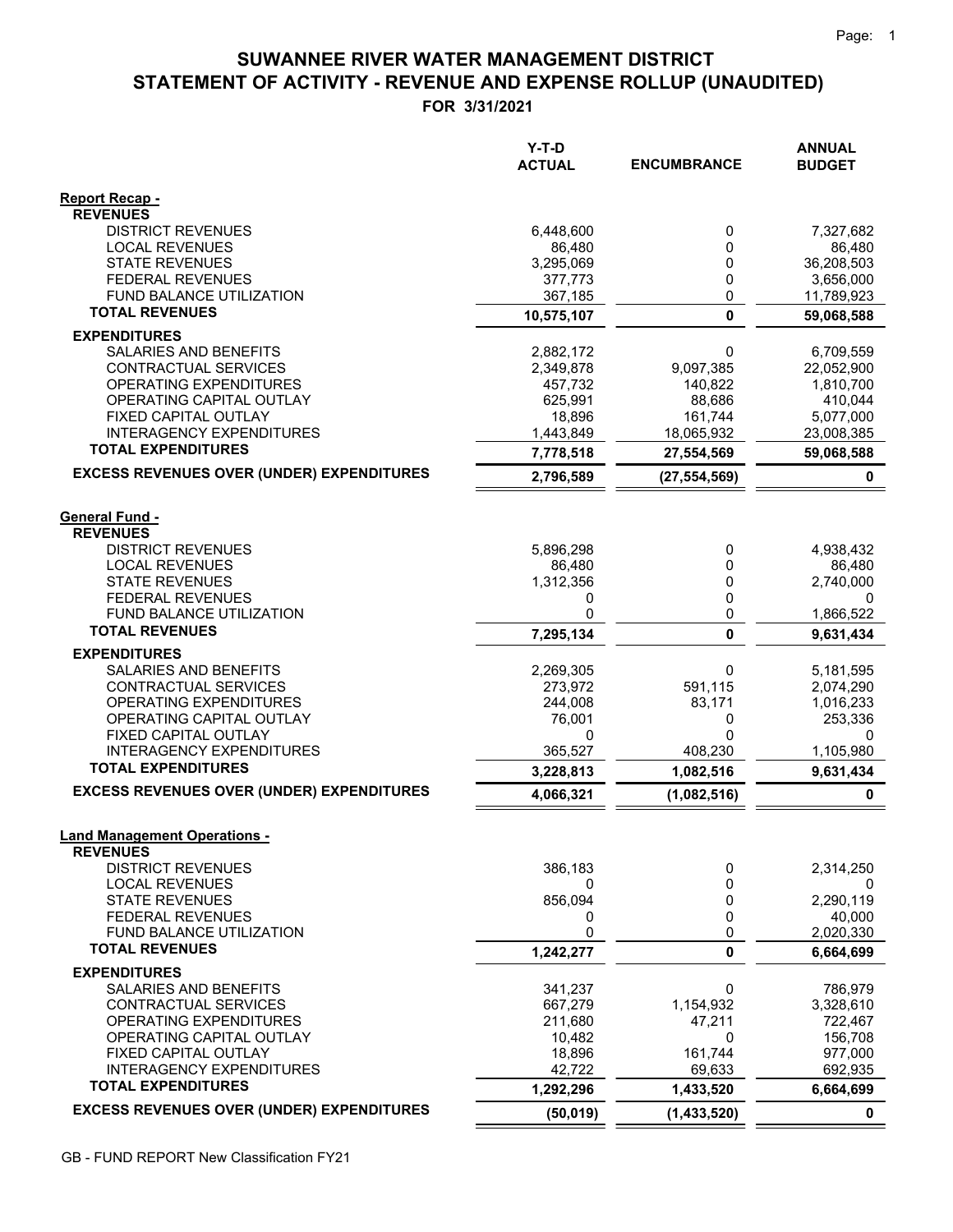# **STATEMENT OF ACTIVITY - REVENUE AND EXPENSE ROLLUP (UNAUDITED) SUWANNEE RIVER WATER MANAGEMENT DISTRICT**

**FOR 3/31/2021**

|                                                          | $Y-T-D$<br><b>ACTUAL</b> | <b>ENCUMBRANCE</b> | <b>ANNUAL</b><br><b>BUDGET</b> |
|----------------------------------------------------------|--------------------------|--------------------|--------------------------------|
|                                                          |                          |                    |                                |
| <b>Report Recap -</b><br><b>REVENUES</b>                 |                          |                    |                                |
| <b>DISTRICT REVENUES</b>                                 | 6,448,600                | 0                  | 7,327,682                      |
| <b>LOCAL REVENUES</b>                                    | 86.480                   | 0                  | 86,480                         |
| <b>STATE REVENUES</b>                                    | 3,295,069                | 0                  | 36,208,503                     |
| <b>FEDERAL REVENUES</b>                                  | 377,773<br>367,185       | 0                  | 3,656,000<br>11,789,923        |
| FUND BALANCE UTILIZATION<br><b>TOTAL REVENUES</b>        | 10,575,107               | 0<br>0             | 59,068,588                     |
| <b>EXPENDITURES</b>                                      |                          |                    |                                |
| SALARIES AND BENEFITS                                    | 2,882,172                | 0                  | 6,709,559                      |
| CONTRACTUAL SERVICES                                     | 2,349,878                | 9,097,385          | 22,052,900                     |
| OPERATING EXPENDITURES                                   | 457,732                  | 140,822            | 1,810,700                      |
| OPERATING CAPITAL OUTLAY<br>FIXED CAPITAL OUTLAY         | 625,991<br>18,896        | 88,686<br>161,744  | 410,044<br>5,077,000           |
| <b>INTERAGENCY EXPENDITURES</b>                          | 1,443,849                | 18,065,932         | 23,008,385                     |
| <b>TOTAL EXPENDITURES</b>                                | 7,778,518                | 27,554,569         | 59,068,588                     |
| <b>EXCESS REVENUES OVER (UNDER) EXPENDITURES</b>         | 2,796,589                | (27, 554, 569)     | 0                              |
|                                                          |                          |                    |                                |
| <b>General Fund -</b><br><b>REVENUES</b>                 |                          |                    |                                |
| <b>DISTRICT REVENUES</b>                                 | 5,896,298                | 0                  | 4,938,432                      |
| <b>LOCAL REVENUES</b>                                    | 86,480                   | 0                  | 86,480                         |
| <b>STATE REVENUES</b>                                    | 1,312,356                | 0                  | 2,740,000                      |
| <b>FEDERAL REVENUES</b>                                  | 0                        | 0                  | 0                              |
| <b>FUND BALANCE UTILIZATION</b><br><b>TOTAL REVENUES</b> | 0<br>7,295,134           | 0<br>0             | 1,866,522<br>9,631,434         |
| <b>EXPENDITURES</b>                                      |                          |                    |                                |
| SALARIES AND BENEFITS                                    | 2,269,305                | 0                  | 5,181,595                      |
| CONTRACTUAL SERVICES                                     | 273,972                  | 591,115            | 2,074,290                      |
| OPERATING EXPENDITURES                                   | 244,008                  | 83,171             | 1,016,233                      |
| OPERATING CAPITAL OUTLAY<br>FIXED CAPITAL OUTLAY         | 76,001<br>0              | 0<br>0             | 253,336<br>0                   |
| <b>INTERAGENCY EXPENDITURES</b>                          | 365,527                  | 408,230            | 1,105,980                      |
| <b>TOTAL EXPENDITURES</b>                                | 3,228,813                | 1,082,516          | 9,631,434                      |
| <b>EXCESS REVENUES OVER (UNDER) EXPENDITURES</b>         | 4,066,321                | (1,082,516)        | $\mathbf 0$                    |
|                                                          |                          |                    |                                |
| <b>Land Management Operations -</b>                      |                          |                    |                                |
| <b>REVENUES</b><br><b>DISTRICT REVENUES</b>              | 386,183                  | 0                  | 2,314,250                      |
| <b>LOCAL REVENUES</b>                                    | 0                        | 0                  | 0                              |
| <b>STATE REVENUES</b>                                    | 856,094                  | 0                  | 2,290,119                      |
| <b>FEDERAL REVENUES</b>                                  | 0                        | 0                  | 40,000                         |
| FUND BALANCE UTILIZATION<br><b>TOTAL REVENUES</b>        | 0                        | 0                  | 2,020,330                      |
|                                                          | 1,242,277                | 0                  | 6,664,699                      |
| <b>EXPENDITURES</b><br><b>SALARIES AND BENEFITS</b>      | 341,237                  | 0                  | 786,979                        |
| CONTRACTUAL SERVICES                                     | 667,279                  | 1,154,932          | 3,328,610                      |
| OPERATING EXPENDITURES                                   | 211,680                  | 47,211             | 722,467                        |
| OPERATING CAPITAL OUTLAY                                 | 10,482                   | 0                  | 156,708                        |
| FIXED CAPITAL OUTLAY<br><b>INTERAGENCY EXPENDITURES</b>  | 18,896<br>42,722         | 161,744<br>69,633  | 977,000<br>692,935             |
| <b>TOTAL EXPENDITURES</b>                                | 1,292,296                | 1,433,520          | 6,664,699                      |
| <b>EXCESS REVENUES OVER (UNDER) EXPENDITURES</b>         | (50, 019)                | (1,433,520)        | 0                              |
|                                                          |                          |                    |                                |